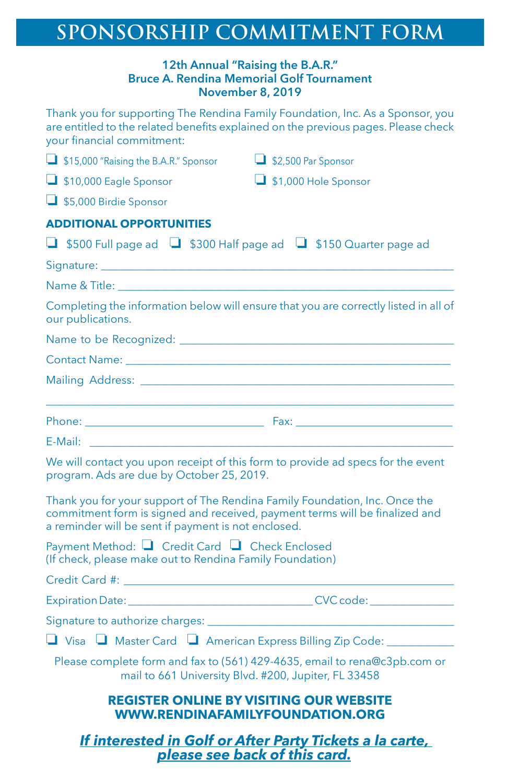## **SPONSORSHIP COMMITMENT FORM**

## **12th Annual "Raising the B.A.R." Bruce A. Rendina Memorial Golf Tournament November 8, 2019**

Thank you for supporting The Rendina Family Foundation, Inc. As a Sponsor, you are entitled to the related benefits explained on the previous pages. Please check your financial commitment:

| \$15,000 "Raising the B.A.R." Sponsor                                                                                                                                                                                          | \$2,500 Par Sponsor                                                                                                                                                                                        |
|--------------------------------------------------------------------------------------------------------------------------------------------------------------------------------------------------------------------------------|------------------------------------------------------------------------------------------------------------------------------------------------------------------------------------------------------------|
| $\Box$ \$10,000 Eagle Sponsor                                                                                                                                                                                                  | $\Box$ \$1,000 Hole Sponsor                                                                                                                                                                                |
| \$5,000 Birdie Sponsor                                                                                                                                                                                                         |                                                                                                                                                                                                            |
| <b>ADDITIONAL OPPORTUNITIES</b>                                                                                                                                                                                                |                                                                                                                                                                                                            |
| $\Box$ \$500 Full page ad $\Box$ \$300 Half page ad $\Box$ \$150 Quarter page ad                                                                                                                                               |                                                                                                                                                                                                            |
|                                                                                                                                                                                                                                |                                                                                                                                                                                                            |
| Name & Title: The Contract of the New York of the New York of the United States                                                                                                                                                |                                                                                                                                                                                                            |
| our publications.                                                                                                                                                                                                              | Completing the information below will ensure that you are correctly listed in all of                                                                                                                       |
|                                                                                                                                                                                                                                |                                                                                                                                                                                                            |
|                                                                                                                                                                                                                                | <b>Contact Name: Contact Name: Contact Name: Contact Name: Contact Name: Contact Name: Contact Name: Contact Name: Contact Name: Contact Name: Contact Name: Contact Name: Contact Name: Contact Name:</b> |
|                                                                                                                                                                                                                                |                                                                                                                                                                                                            |
|                                                                                                                                                                                                                                |                                                                                                                                                                                                            |
|                                                                                                                                                                                                                                |                                                                                                                                                                                                            |
| E-Mail: E-Mail: E-Mail: E-Mail: E-Mail: E-Mail: E-Mail: E-Mail: E-Mail: E-Mail: E-Mail: E-Mail: E-Mail: E-Mail: E-Mail: E-Mail: E-Mail: E-Mail: E-Mail: E-Mail: E-Mail: E-Mail: E-Mail: E-Mail: E-Mail: E-Mail: E-Mail: E-Mail |                                                                                                                                                                                                            |
| program. Ads are due by October 25, 2019.                                                                                                                                                                                      | We will contact you upon receipt of this form to provide ad specs for the event                                                                                                                            |
| Thank you for your support of The Rendina Family Foundation, Inc. Once the<br>a reminder will be sent if payment is not enclosed.                                                                                              | commitment form is signed and received, payment terms will be finalized and                                                                                                                                |
| Payment Method: □ Credit Card □ Check Enclosed<br>(If check, please make out to Rendina Family Foundation)                                                                                                                     |                                                                                                                                                                                                            |
| Credit Card #: Website Card #: Website Credit Card #:                                                                                                                                                                          |                                                                                                                                                                                                            |
|                                                                                                                                                                                                                                |                                                                                                                                                                                                            |
|                                                                                                                                                                                                                                |                                                                                                                                                                                                            |
|                                                                                                                                                                                                                                | $\Box$ Visa $\Box$ Master Card $\Box$ American Express Billing Zip Code: ____________                                                                                                                      |
|                                                                                                                                                                                                                                | Please complete form and fax to (561) 429-4635, email to rena@c3pb.com or<br>mail to 661 University Blvd. #200, Jupiter, FL 33458                                                                          |
|                                                                                                                                                                                                                                | <b>REGISTER ONLINE BY VISITING OUR WEBSITE</b><br><b>WWW.RENDINAFAMILYFOUNDATION.ORG</b>                                                                                                                   |
|                                                                                                                                                                                                                                | If interested in Golf or After Party Tickets a la carte,<br>please see back of this card.                                                                                                                  |